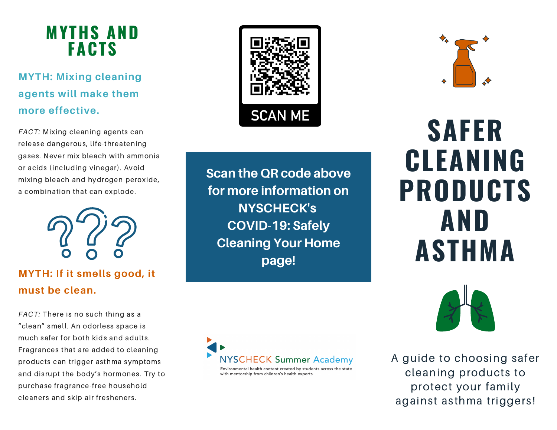## **MYTHS AND FACTS**

### **MYTH: Mixing cleaning agents will make them more effective.**

*FACT:* Mixing cleaning agents can release dangerous, life-threatening gases. Never mix bleach with ammonia or acids (including vinegar). Avoid mixing bleach and hydrogen peroxide, a combination that can explode.



### **MYTH: If it smells good, it must be clean.**

*FACT:* There is no such thing as a "clean" smell. An odorless space is much safer for both kids and adults. Fragrances that are added to cleaning products can trigger asthma symptoms and disrupt the body's hormones. Try to purchase fragrance-free household cleaners and skip air fresheners.



**Scan the QR code above for more information on NYSCHECK's COVID-19: Safely Cleaning Your Home page!**





**SAFER CLEANING PRODUCTS AND ASTHMA**



A guide to choosing safer cleaning products to protect your family against asthma triggers!